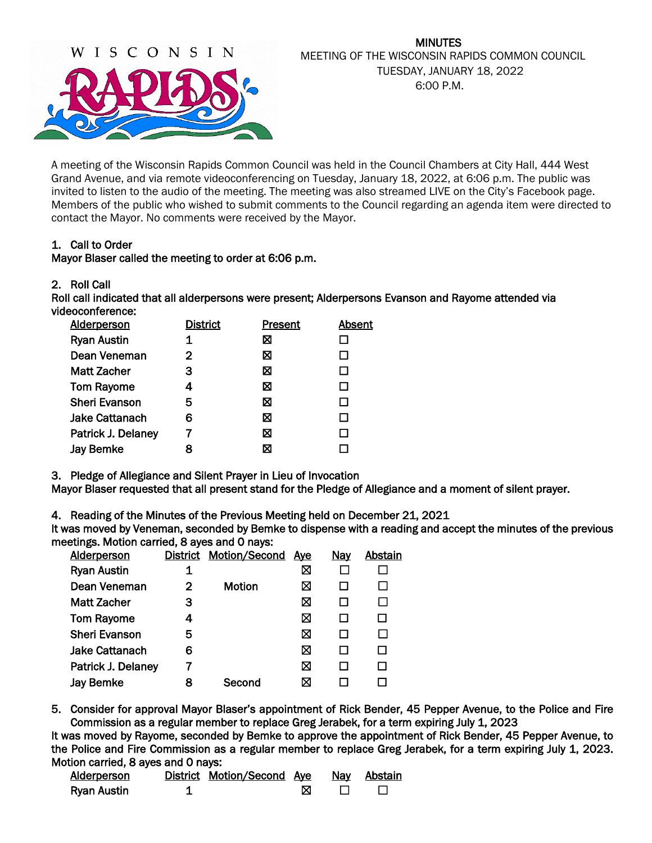

### MINUTES MEETING OF THE WISCONSIN RAPIDS COMMON COUNCIL TUESDAY, JANUARY 18, 2022 6:00 P.M.

A meeting of the Wisconsin Rapids Common Council was held in the Council Chambers at City Hall, 444 West Grand Avenue, and via remote videoconferencing on Tuesday, January 18, 2022, at 6:06 p.m. The public was invited to listen to the audio of the meeting. The meeting was also streamed LIVE on the City's Facebook page. Members of the public who wished to submit comments to the Council regarding an agenda item were directed to contact the Mayor. No comments were received by the Mayor.

### 1. Call to Order

### Mayor Blaser called the meeting to order at 6:06 p.m.

### 2. Roll Call

Roll call indicated that all alderpersons were present; Alderpersons Evanson and Rayome attended via videoconference:

| <b>Alderperson</b>    | <b>District</b> | <b>Present</b> | Absent |
|-----------------------|-----------------|----------------|--------|
| <b>Ryan Austin</b>    |                 | ⊠              |        |
| Dean Veneman          | 2               | ⊠              |        |
| <b>Matt Zacher</b>    | З               | ⊠              | П      |
| <b>Tom Rayome</b>     | 4               | ⊠              | П      |
| <b>Sheri Evanson</b>  | 5               | ⊠              |        |
| <b>Jake Cattanach</b> | 6               | ⊠              |        |
| Patrick J. Delaney    |                 | ⊠              |        |
| <b>Jay Bemke</b>      | 8               | ⊠              |        |

3. Pledge of Allegiance and Silent Prayer in Lieu of Invocation

Mayor Blaser requested that all present stand for the Pledge of Allegiance and a moment of silent prayer.

4. Reading of the Minutes of the Previous Meeting held on December 21, 2021

It was moved by Veneman, seconded by Bemke to dispense with a reading and accept the minutes of the previous meetings. Motion carried, 8 ayes and 0 nays:

| <b>Alderperson</b>    |   | District Motion/Second | <u>Ave</u> | <u>Nav</u> | Abstain |
|-----------------------|---|------------------------|------------|------------|---------|
| <b>Ryan Austin</b>    |   |                        | ⊠          |            |         |
| Dean Veneman          | 2 | <b>Motion</b>          | ⊠          |            |         |
| <b>Matt Zacher</b>    | з |                        | ⊠          |            |         |
| <b>Tom Rayome</b>     | 4 |                        | X          |            |         |
| <b>Sheri Evanson</b>  | 5 |                        | ⊠          |            |         |
| <b>Jake Cattanach</b> | 6 |                        | ⊠          |            |         |
| Patrick J. Delaney    |   |                        | ⊠          |            |         |
| <b>Jay Bemke</b>      | 8 | Second                 | ⊠          |            |         |
|                       |   |                        |            |            |         |

5. Consider for approval Mayor Blaser's appointment of Rick Bender, 45 Pepper Avenue, to the Police and Fire Commission as a regular member to replace Greg Jerabek, for a term expiring July 1, 2023

It was moved by Rayome, seconded by Bemke to approve the appointment of Rick Bender, 45 Pepper Avenue, to the Police and Fire Commission as a regular member to replace Greg Jerabek, for a term expiring July 1, 2023. Motion carried, 8 ayes and 0 nays:

| Alderberson | District Motion/Second Aye | <b>Nay</b> | Abstain |
|-------------|----------------------------|------------|---------|
| Ryan Austin |                            |            |         |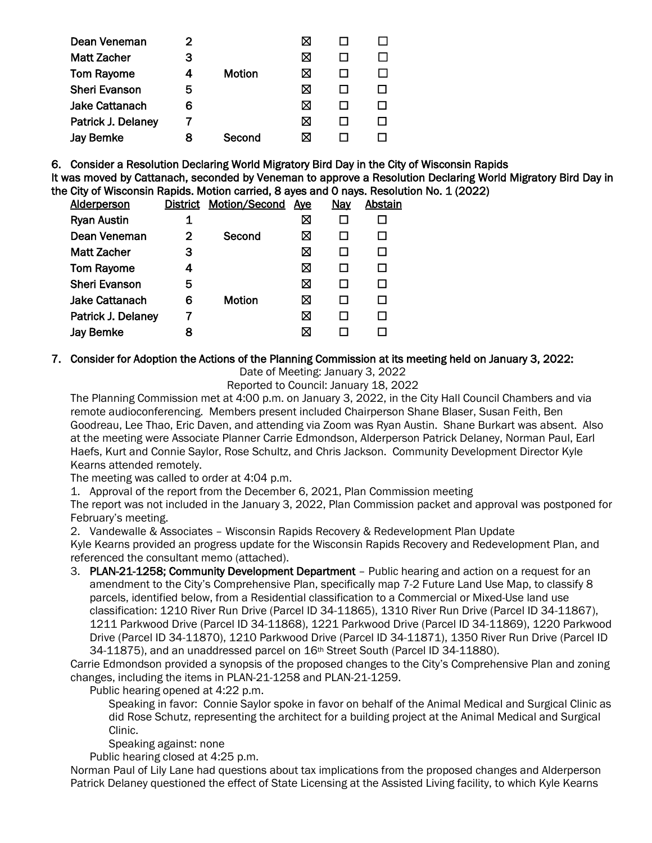| Dean Veneman          |   |               |   |  |
|-----------------------|---|---------------|---|--|
| <b>Matt Zacher</b>    | З |               | ⊠ |  |
| <b>Tom Rayome</b>     |   | <b>Motion</b> | ⊠ |  |
| <b>Sheri Evanson</b>  | 5 |               | ⋈ |  |
| <b>Jake Cattanach</b> | 6 |               | ⋈ |  |
| Patrick J. Delaney    |   |               | ⊠ |  |
| <b>Jay Bemke</b>      | 8 | Second        |   |  |
|                       |   |               |   |  |

6. Consider a Resolution Declaring World Migratory Bird Day in the City of Wisconsin Rapids It was moved by Cattanach, seconded by Veneman to approve a Resolution Declaring World Migratory Bird Day in the City of Wisconsin Rapids. Motion carried, 8 ayes and 0 nays. Resolution No. 1 (2022)

| Alderperson           |   | District Motion/Second | <u>Aye</u> | Nay | Abstain |
|-----------------------|---|------------------------|------------|-----|---------|
| <b>Ryan Austin</b>    | 1 |                        | ⊠          |     |         |
| Dean Veneman          | 2 | Second                 | ⊠          |     |         |
| <b>Matt Zacher</b>    | 3 |                        | ⊠          |     |         |
| <b>Tom Rayome</b>     | 4 |                        | ⊠          |     |         |
| <b>Sheri Evanson</b>  | 5 |                        | ⊠          |     |         |
| <b>Jake Cattanach</b> | 6 | <b>Motion</b>          | ⊠          |     |         |
| Patrick J. Delaney    |   |                        | ⊠          |     |         |
| <b>Jay Bemke</b>      | 8 |                        | ⊠          |     |         |
|                       |   |                        |            |     |         |

## 7. Consider for Adoption the Actions of the Planning Commission at its meeting held on January 3, 2022:

Date of Meeting: January 3, 2022

Reported to Council: January 18, 2022

The Planning Commission met at 4:00 p.m. on January 3, 2022, in the City Hall Council Chambers and via remote audioconferencing. Members present included Chairperson Shane Blaser, Susan Feith, Ben Goodreau, Lee Thao, Eric Daven, and attending via Zoom was Ryan Austin. Shane Burkart was absent. Also at the meeting were Associate Planner Carrie Edmondson, Alderperson Patrick Delaney, Norman Paul, Earl Haefs, Kurt and Connie Saylor, Rose Schultz, and Chris Jackson. Community Development Director Kyle Kearns attended remotely.

The meeting was called to order at 4:04 p.m.

1. Approval of the report from the December 6, 2021, Plan Commission meeting

The report was not included in the January 3, 2022, Plan Commission packet and approval was postponed for February's meeting.

2. Vandewalle & Associates – Wisconsin Rapids Recovery & Redevelopment Plan Update

Kyle Kearns provided an progress update for the Wisconsin Rapids Recovery and Redevelopment Plan, and referenced the consultant memo (attached).

3. PLAN-21-1258; Community Development Department - Public hearing and action on a request for an amendment to the City's Comprehensive Plan, specifically map 7-2 Future Land Use Map, to classify 8 parcels, identified below, from a Residential classification to a Commercial or Mixed-Use land use classification: 1210 River Run Drive (Parcel ID 34-11865), 1310 River Run Drive (Parcel ID 34-11867), 1211 Parkwood Drive (Parcel ID 34-11868), 1221 Parkwood Drive (Parcel ID 34-11869), 1220 Parkwood Drive (Parcel ID 34-11870), 1210 Parkwood Drive (Parcel ID 34-11871), 1350 River Run Drive (Parcel ID 34-11875), and an unaddressed parcel on 16th Street South (Parcel ID 34-11880).

Carrie Edmondson provided a synopsis of the proposed changes to the City's Comprehensive Plan and zoning changes, including the items in PLAN-21-1258 and PLAN-21-1259.

Public hearing opened at 4:22 p.m.

Speaking in favor: Connie Saylor spoke in favor on behalf of the Animal Medical and Surgical Clinic as did Rose Schutz, representing the architect for a building project at the Animal Medical and Surgical Clinic.

Speaking against: none

Public hearing closed at 4:25 p.m.

Norman Paul of Lily Lane had questions about tax implications from the proposed changes and Alderperson Patrick Delaney questioned the effect of State Licensing at the Assisted Living facility, to which Kyle Kearns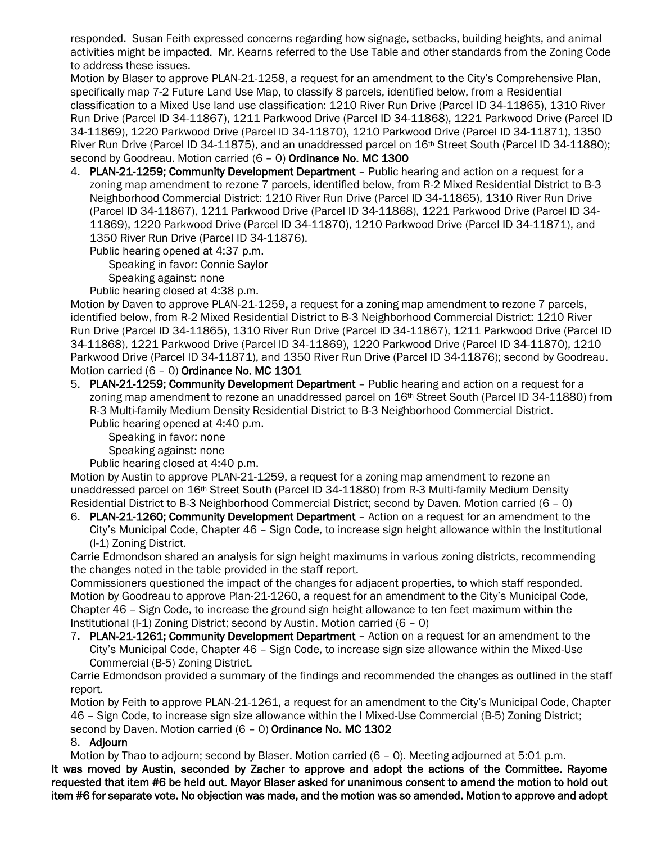responded. Susan Feith expressed concerns regarding how signage, setbacks, building heights, and animal activities might be impacted. Mr. Kearns referred to the Use Table and other standards from the Zoning Code to address these issues.

Motion by Blaser to approve PLAN-21-1258, a request for an amendment to the City's Comprehensive Plan, specifically map 7-2 Future Land Use Map, to classify 8 parcels, identified below, from a Residential classification to a Mixed Use land use classification: 1210 River Run Drive (Parcel ID 34-11865), 1310 River Run Drive (Parcel ID 34-11867), 1211 Parkwood Drive (Parcel ID 34-11868), 1221 Parkwood Drive (Parcel ID 34-11869), 1220 Parkwood Drive (Parcel ID 34-11870), 1210 Parkwood Drive (Parcel ID 34-11871), 1350 River Run Drive (Parcel ID 34-11875), and an unaddressed parcel on 16th Street South (Parcel ID 34-11880); second by Goodreau. Motion carried (6 - 0) Ordinance No. MC 1300

4. PLAN-21-1259; Community Development Department – Public hearing and action on a request for a zoning map amendment to rezone 7 parcels, identified below, from R-2 Mixed Residential District to B-3 Neighborhood Commercial District: 1210 River Run Drive (Parcel ID 34-11865), 1310 River Run Drive (Parcel ID 34-11867), 1211 Parkwood Drive (Parcel ID 34-11868), 1221 Parkwood Drive (Parcel ID 34- 11869), 1220 Parkwood Drive (Parcel ID 34-11870), 1210 Parkwood Drive (Parcel ID 34-11871), and 1350 River Run Drive (Parcel ID 34-11876).

Public hearing opened at 4:37 p.m.

Speaking in favor: Connie Saylor Speaking against: none

Public hearing closed at 4:38 p.m.

Motion by Daven to approve PLAN-21-1259, a request for a zoning map amendment to rezone 7 parcels, identified below, from R-2 Mixed Residential District to B-3 Neighborhood Commercial District: 1210 River Run Drive (Parcel ID 34-11865), 1310 River Run Drive (Parcel ID 34-11867), 1211 Parkwood Drive (Parcel ID 34-11868), 1221 Parkwood Drive (Parcel ID 34-11869), 1220 Parkwood Drive (Parcel ID 34-11870), 1210 Parkwood Drive (Parcel ID 34-11871), and 1350 River Run Drive (Parcel ID 34-11876); second by Goodreau. Motion carried (6 – 0) Ordinance No. MC 1301

5. PLAN-21-1259; Community Development Department – Public hearing and action on a request for a zoning map amendment to rezone an unaddressed parcel on 16<sup>th</sup> Street South (Parcel ID 34-11880) from R-3 Multi-family Medium Density Residential District to B-3 Neighborhood Commercial District. Public hearing opened at 4:40 p.m.

Speaking in favor: none

Speaking against: none Public hearing closed at 4:40 p.m.

Motion by Austin to approve PLAN-21-1259, a request for a zoning map amendment to rezone an unaddressed parcel on 16th Street South (Parcel ID 34-11880) from R-3 Multi-family Medium Density Residential District to B-3 Neighborhood Commercial District; second by Daven. Motion carried (6 – 0)

6. PLAN-21-1260; Community Development Department – Action on a request for an amendment to the City's Municipal Code, Chapter 46 – Sign Code, to increase sign height allowance within the Institutional (I-1) Zoning District.

Carrie Edmondson shared an analysis for sign height maximums in various zoning districts, recommending the changes noted in the table provided in the staff report.

Commissioners questioned the impact of the changes for adjacent properties, to which staff responded. Motion by Goodreau to approve Plan-21-1260, a request for an amendment to the City's Municipal Code, Chapter 46 – Sign Code, to increase the ground sign height allowance to ten feet maximum within the Institutional (I-1) Zoning District; second by Austin. Motion carried (6 – 0)

7. PLAN-21-1261; Community Development Department - Action on a request for an amendment to the City's Municipal Code, Chapter 46 – Sign Code, to increase sign size allowance within the Mixed-Use Commercial (B-5) Zoning District.

Carrie Edmondson provided a summary of the findings and recommended the changes as outlined in the staff report.

Motion by Feith to approve PLAN-21-1261, a request for an amendment to the City's Municipal Code, Chapter 46 – Sign Code, to increase sign size allowance within the I Mixed-Use Commercial (B-5) Zoning District; second by Daven. Motion carried (6 - 0) Ordinance No. MC 1302

### 8. Adjourn

Motion by Thao to adjourn; second by Blaser. Motion carried (6 – 0). Meeting adjourned at 5:01 p.m.

It was moved by Austin, seconded by Zacher to approve and adopt the actions of the Committee. Rayome requested that item #6 be held out. Mayor Blaser asked for unanimous consent to amend the motion to hold out item #6 for separate vote. No objection was made, and the motion was so amended. Motion to approve and adopt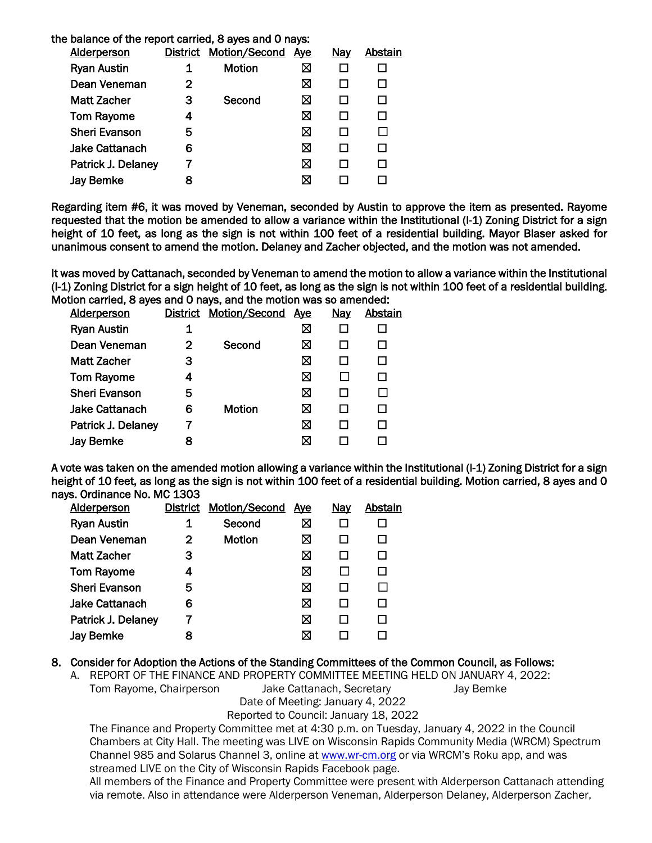| the balance of the report carried, 8 ayes and 0 nays: |                 |                      |            |            |         |
|-------------------------------------------------------|-----------------|----------------------|------------|------------|---------|
| <b>Alderperson</b>                                    | <b>District</b> | <b>Motion/Second</b> | <u>Aye</u> | <u>Nay</u> | Abstain |
| <b>Ryan Austin</b>                                    |                 | Motion               | ⊠          |            |         |
| Dean Veneman                                          | 2               |                      | ⊠          |            |         |
| Matt Zacher                                           | 3               | Second               | ⊠          |            |         |
| <b>Tom Rayome</b>                                     | 4               |                      | ⊠          |            |         |
| <b>Sheri Evanson</b>                                  | 5               |                      | ⊠          |            |         |
| Jake Cattanach                                        | 6               |                      | ⊠          |            |         |
| Patrick J. Delaney                                    |                 |                      | ⊠          |            |         |
| <b>Jay Bemke</b>                                      | 8               |                      | ⊠          |            |         |
|                                                       |                 |                      |            |            |         |

Regarding item #6, it was moved by Veneman, seconded by Austin to approve the item as presented. Rayome requested that the motion be amended to allow a variance within the Institutional (I-1) Zoning District for a sign height of 10 feet, as long as the sign is not within 100 feet of a residential building. Mayor Blaser asked for unanimous consent to amend the motion. Delaney and Zacher objected, and the motion was not amended.

It was moved by Cattanach, seconded by Veneman to amend the motion to allow a variance within the Institutional (I-1) Zoning District for a sign height of 10 feet, as long as the sign is not within 100 feet of a residential building. Motion carried, 8 ayes and 0 nays, and the motion was so amended:

| <b>Alderperson</b>    |   | District Motion/Second | <u>Aye</u> | Nay | Abstain |
|-----------------------|---|------------------------|------------|-----|---------|
| <b>Ryan Austin</b>    | 1 |                        | ⊠          |     |         |
| Dean Veneman          | 2 | Second                 | ⊠          |     |         |
| <b>Matt Zacher</b>    | 3 |                        | ⊠          |     |         |
| <b>Tom Rayome</b>     | 4 |                        | ⊠          |     |         |
| <b>Sheri Evanson</b>  | 5 |                        | ⊠          |     |         |
| <b>Jake Cattanach</b> | 6 | <b>Motion</b>          | ⊠          |     |         |
| Patrick J. Delaney    |   |                        | ⊠          |     |         |
| <b>Jay Bemke</b>      |   |                        | ⊠          |     |         |
|                       |   |                        |            |     |         |

A vote was taken on the amended motion allowing a variance within the Institutional (I-1) Zoning District for a sign height of 10 feet, as long as the sign is not within 100 feet of a residential building. Motion carried, 8 ayes and 0 nays. Ordinance No. MC 1303

|   |        | <u>Aye</u>                    | <u>Nay</u> | Abstain |
|---|--------|-------------------------------|------------|---------|
|   | Second | ⊠                             |            |         |
| 2 | Motion | ⊠                             |            |         |
| З |        | ⊠                             |            |         |
| 4 |        | ⊠                             |            |         |
| 5 |        | ⊠                             |            |         |
| 6 |        | ⊠                             | H          |         |
|   |        | ⊠                             |            |         |
|   |        | ⊠                             |            |         |
|   |        | <b>District Motion/Second</b> |            |         |

#### 8. Consider for Adoption the Actions of the Standing Committees of the Common Council, as Follows:

A. REPORT OF THE FINANCE AND PROPERTY COMMITTEE MEETING HELD ON JANUARY 4, 2022: Tom Rayome, Chairperson Jake Cattanach, Secretary Jay Bemke Date of Meeting: January 4, 2022

Reported to Council: January 18, 2022

The Finance and Property Committee met at 4:30 p.m. on Tuesday, January 4, 2022 in the Council Chambers at City Hall. The meeting was LIVE on Wisconsin Rapids Community Media (WRCM) Spectrum Channel 985 and Solarus Channel 3, online a[t www.wr-cm.org](http://www.wr-cm.org/) or via WRCM's Roku app, and was streamed LIVE on the City of Wisconsin Rapids Facebook page.

All members of the Finance and Property Committee were present with Alderperson Cattanach attending via remote. Also in attendance were Alderperson Veneman, Alderperson Delaney, Alderperson Zacher,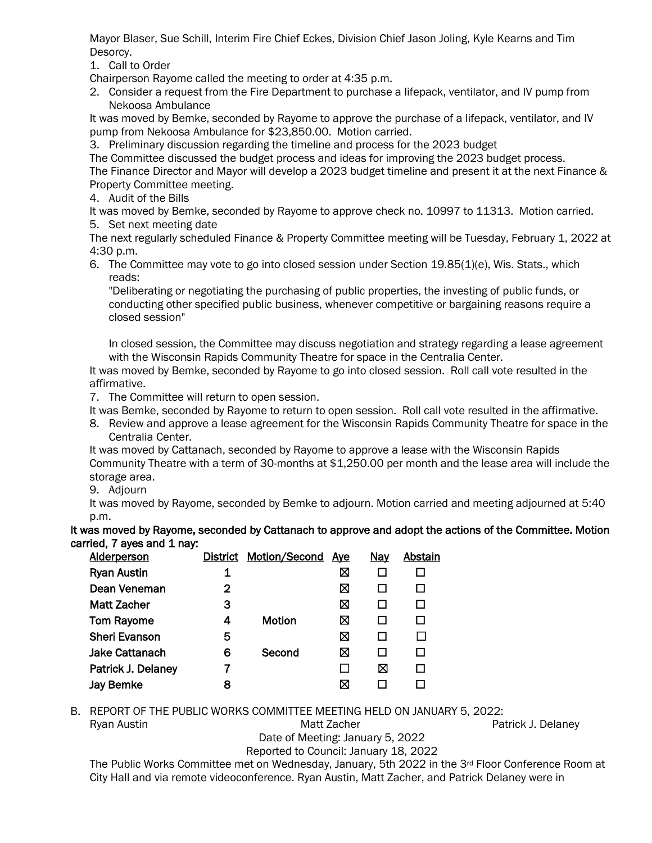Mayor Blaser, Sue Schill, Interim Fire Chief Eckes, Division Chief Jason Joling, Kyle Kearns and Tim Desorcy.

1. Call to Order

Chairperson Rayome called the meeting to order at 4:35 p.m.

2. Consider a request from the Fire Department to purchase a lifepack, ventilator, and IV pump from Nekoosa Ambulance

It was moved by Bemke, seconded by Rayome to approve the purchase of a lifepack, ventilator, and IV pump from Nekoosa Ambulance for \$23,850.00. Motion carried.

3. Preliminary discussion regarding the timeline and process for the 2023 budget

The Committee discussed the budget process and ideas for improving the 2023 budget process.

The Finance Director and Mayor will develop a 2023 budget timeline and present it at the next Finance & Property Committee meeting.

4. Audit of the Bills

It was moved by Bemke, seconded by Rayome to approve check no. 10997 to 11313. Motion carried. 5. Set next meeting date

The next regularly scheduled Finance & Property Committee meeting will be Tuesday, February 1, 2022 at 4:30 p.m.

6. The Committee may vote to go into closed session under Section 19.85(1)(e), Wis. Stats., which reads:

"Deliberating or negotiating the purchasing of public properties, the investing of public funds, or conducting other specified public business, whenever competitive or bargaining reasons require a closed session"

In closed session, the Committee may discuss negotiation and strategy regarding a lease agreement with the Wisconsin Rapids Community Theatre for space in the Centralia Center.

It was moved by Bemke, seconded by Rayome to go into closed session. Roll call vote resulted in the affirmative.

7. The Committee will return to open session.

It was Bemke, seconded by Rayome to return to open session. Roll call vote resulted in the affirmative.

8. Review and approve a lease agreement for the Wisconsin Rapids Community Theatre for space in the Centralia Center.

It was moved by Cattanach, seconded by Rayome to approve a lease with the Wisconsin Rapids Community Theatre with a term of 30-months at \$1,250.00 per month and the lease area will include the storage area.

9. Adjourn

It was moved by Rayome, seconded by Bemke to adjourn. Motion carried and meeting adjourned at 5:40 p.m.

It was moved by Rayome, seconded by Cattanach to approve and adopt the actions of the Committee. Motion carried, 7 ayes and 1 nay:

| <b>Alderperson</b>    |   | <b>District Motion/Second</b> | <b>Aye</b> | <u>Nay</u> | Abstain |
|-----------------------|---|-------------------------------|------------|------------|---------|
| <b>Ryan Austin</b>    | 1 |                               | ⊠          |            |         |
| Dean Veneman          | 2 |                               | ⊠          |            |         |
| <b>Matt Zacher</b>    | З |                               | ⊠          |            |         |
| <b>Tom Rayome</b>     | 4 | <b>Motion</b>                 | ⊠          |            |         |
| <b>Sheri Evanson</b>  | 5 |                               | ⊠          |            |         |
| <b>Jake Cattanach</b> | 6 | Second                        | ⊠          |            |         |
| Patrick J. Delaney    |   |                               |            | ⊠          |         |
| <b>Jay Bemke</b>      | 8 |                               | ⊠          |            |         |
|                       |   |                               |            |            |         |

B. REPORT OF THE PUBLIC WORKS COMMITTEE MEETING HELD ON JANUARY 5, 2022:

Ryan Austin **Matt Zacher** Patrick J. Delaney Matt Zacher **Patrick J. Delaney** 

Date of Meeting: January 5, 2022

Reported to Council: January 18, 2022

The Public Works Committee met on Wednesday, January, 5th 2022 in the 3rd Floor Conference Room at City Hall and via remote videoconference. Ryan Austin, Matt Zacher, and Patrick Delaney were in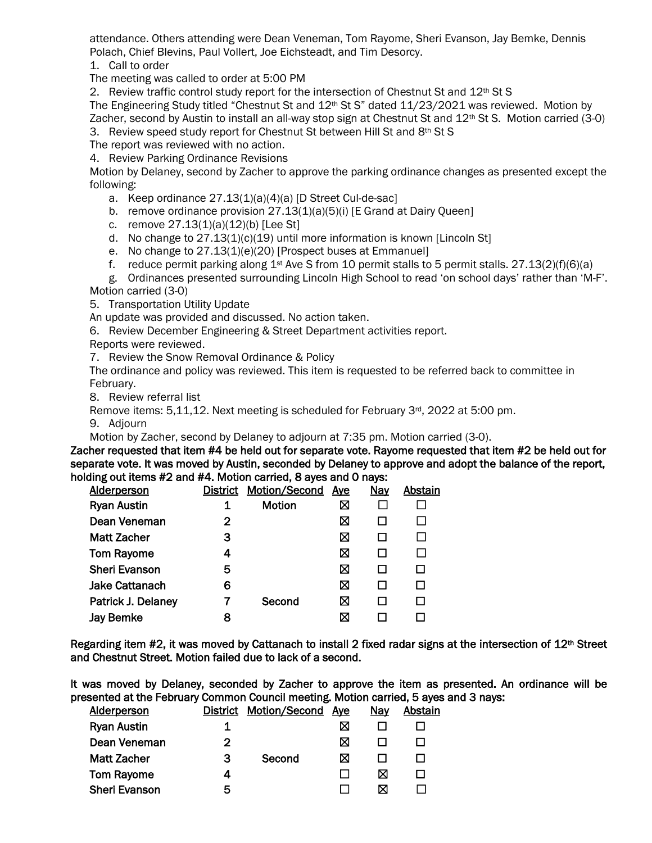attendance. Others attending were Dean Veneman, Tom Rayome, Sheri Evanson, Jay Bemke, Dennis Polach, Chief Blevins, Paul Vollert, Joe Eichsteadt, and Tim Desorcy.

1. Call to order

The meeting was called to order at 5:00 PM

2. Review traffic control study report for the intersection of Chestnut St and 12<sup>th</sup> St S

The Engineering Study titled "Chestnut St and 12<sup>th</sup> St S" dated 11/23/2021 was reviewed. Motion by Zacher, second by Austin to install an all-way stop sign at Chestnut St and 12th St S. Motion carried (3-0)

3. Review speed study report for Chestnut St between Hill St and 8th St S

The report was reviewed with no action.

4. Review Parking Ordinance Revisions

Motion by Delaney, second by Zacher to approve the parking ordinance changes as presented except the following:

- a. Keep ordinance 27.13(1)(a)(4)(a) [D Street Cul-de-sac]
- b. remove ordinance provision 27.13(1)(a)(5)(i) [E Grand at Dairy Queen]
- c. remove 27.13(1)(a)(12)(b) [Lee St]
- d. No change to 27.13(1)(c)(19) until more information is known [Lincoln St]
- e. No change to 27.13(1)(e)(20) [Prospect buses at Emmanuel]
- f. reduce permit parking along  $1^{st}$  Ave S from 10 permit stalls to 5 permit stalls. 27.13(2)(f)(6)(a)

g. Ordinances presented surrounding Lincoln High School to read 'on school days' rather than 'M-F'. Motion carried (3-0)

5. Transportation Utility Update

An update was provided and discussed. No action taken.

6. Review December Engineering & Street Department activities report.

Reports were reviewed.

7. Review the Snow Removal Ordinance & Policy

The ordinance and policy was reviewed. This item is requested to be referred back to committee in February.

8. Review referral list

Remove items: 5,11,12. Next meeting is scheduled for February 3<sup>rd</sup>, 2022 at 5:00 pm.

9. Adjourn

Motion by Zacher, second by Delaney to adjourn at 7:35 pm. Motion carried (3-0).

Zacher requested that item #4 be held out for separate vote. Rayome requested that item #2 be held out for separate vote. It was moved by Austin, seconded by Delaney to approve and adopt the balance of the report, holding out items #2 and #4. Motion carried, 8 ayes and 0 nays:

| <b>Alderperson</b>    |   | District Motion/Second | <u>Aye</u> | <b>Nay</b> | <b>Abstain</b> |
|-----------------------|---|------------------------|------------|------------|----------------|
| <b>Ryan Austin</b>    | 1 | <b>Motion</b>          | ⊠          |            |                |
| Dean Veneman          | 2 |                        | ⊠          |            |                |
| <b>Matt Zacher</b>    | З |                        | ⊠          |            |                |
| <b>Tom Rayome</b>     |   |                        | ⊠          |            |                |
| <b>Sheri Evanson</b>  | 5 |                        | ⊠          |            |                |
| <b>Jake Cattanach</b> | 6 |                        | ⊠          |            |                |
| Patrick J. Delaney    |   | Second                 | ⊠          |            |                |
| <b>Jay Bemke</b>      | 8 |                        | ⊠          |            |                |
|                       |   |                        |            |            |                |

Regarding item #2, it was moved by Cattanach to install 2 fixed radar signs at the intersection of 12th Street and Chestnut Street. Motion failed due to lack of a second.

It was moved by Delaney, seconded by Zacher to approve the item as presented. An ordinance will be presented at the February Common Council meeting. Motion carried, 5 ayes and 3 nays:

| <b>District</b> | Motion/Second | Ave | Nay | Abstain |
|-----------------|---------------|-----|-----|---------|
|                 |               | Χ   |     |         |
| 2               |               | ⊠   |     |         |
| 3               | Second        | ⊠   |     |         |
| 4               |               |     | ⊠   |         |
| 5               |               |     | ⋈   |         |
|                 |               |     |     |         |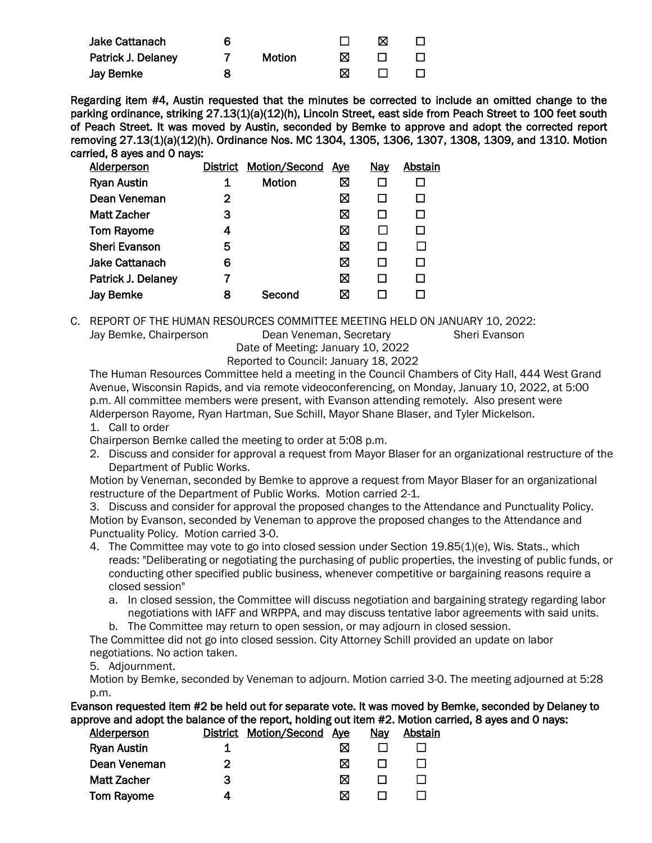| <b>Jake Cattanach</b> | 6 |               |   | M            |              |
|-----------------------|---|---------------|---|--------------|--------------|
| Patrick J. Delaney    |   | <b>Motion</b> | ⋈ |              |              |
| <b>Jay Bemke</b>      |   |               | M | $\mathbf{1}$ | $\mathbf{1}$ |

Regarding item #4, Austin requested that the minutes be corrected to include an omitted change to the parking ordinance, striking 27.13(1)(a)(12)(h), Lincoln Street, east side from Peach Street to 100 feet south of Peach Street. It was moved by Austin, seconded by Bemke to approve and adopt the corrected report removing 27.13(1)(a)(12)(h). Ordinance Nos. MC 1304, 1305, 1306, 1307, 1308, 1309, and 1310. Motion carried, 8 ayes and 0 nays:

| <b>District</b> | Motion/Second | <b>Aye</b> | <b>Nay</b>   | Abstain |
|-----------------|---------------|------------|--------------|---------|
| 1               | Motion        | ⊠          |              |         |
| 2               |               | ⊠          |              | □       |
| 3               |               | ⊠          | LΙ           | П       |
| 4               |               | ⊠          |              | П       |
| 5               |               | ⊠          | LΙ           | П       |
| 6               |               | ⊠          | $\mathsf{L}$ | П       |
| 7               |               | ⊠          | $\mathsf{L}$ | П       |
| 8               | Second        | ⊠          |              |         |
|                 |               |            |              |         |

C. REPORT OF THE HUMAN RESOURCES COMMITTEE MEETING HELD ON JANUARY 10, 2022:

Jay Bemke, Chairperson Dean Veneman, Secretary Sheri Evanson

Date of Meeting: January 10, 2022 Reported to Council: January 18, 2022

The Human Resources Committee held a meeting in the Council Chambers of City Hall, 444 West Grand Avenue, Wisconsin Rapids, and via remote videoconferencing, on Monday, January 10, 2022, at 5:00 p.m. All committee members were present, with Evanson attending remotely. Also present were Alderperson Rayome, Ryan Hartman, Sue Schill, Mayor Shane Blaser, and Tyler Mickelson.

1. Call to order

Chairperson Bemke called the meeting to order at 5:08 p.m.

2. Discuss and consider for approval a request from Mayor Blaser for an organizational restructure of the Department of Public Works.

Motion by Veneman, seconded by Bemke to approve a request from Mayor Blaser for an organizational restructure of the Department of Public Works. Motion carried 2-1.

3. Discuss and consider for approval the proposed changes to the Attendance and Punctuality Policy. Motion by Evanson, seconded by Veneman to approve the proposed changes to the Attendance and Punctuality Policy. Motion carried 3-0.

- 4. The Committee may vote to go into closed session under Section 19.85(1)(e), Wis. Stats., which reads: "Deliberating or negotiating the purchasing of public properties, the investing of public funds, or conducting other specified public business, whenever competitive or bargaining reasons require a closed session"
	- a. In closed session, the Committee will discuss negotiation and bargaining strategy regarding labor negotiations with IAFF and WRPPA, and may discuss tentative labor agreements with said units.
	- b. The Committee may return to open session, or may adjourn in closed session.

The Committee did not go into closed session. City Attorney Schill provided an update on labor negotiations. No action taken.

### 5. Adjournment.

Motion by Bemke, seconded by Veneman to adjourn. Motion carried 3-0. The meeting adjourned at 5:28 p.m.

Evanson requested item #2 be held out for separate vote. It was moved by Bemke, seconded by Delaney to approve and adopt the balance of the report, holding out item #2. Motion carried, 8 ayes and 0 nays:

| <b>Alderperson</b> |   | District Motion/Second | Aye | <u>Nay</u> | Abstain |
|--------------------|---|------------------------|-----|------------|---------|
| <b>Ryan Austin</b> |   |                        | ⊠   |            |         |
| Dean Veneman       | າ |                        | ⊠   |            |         |
| <b>Matt Zacher</b> | 3 |                        | ⊠   |            |         |
| Tom Rayome         |   |                        | ⊠   |            |         |
|                    |   |                        |     |            |         |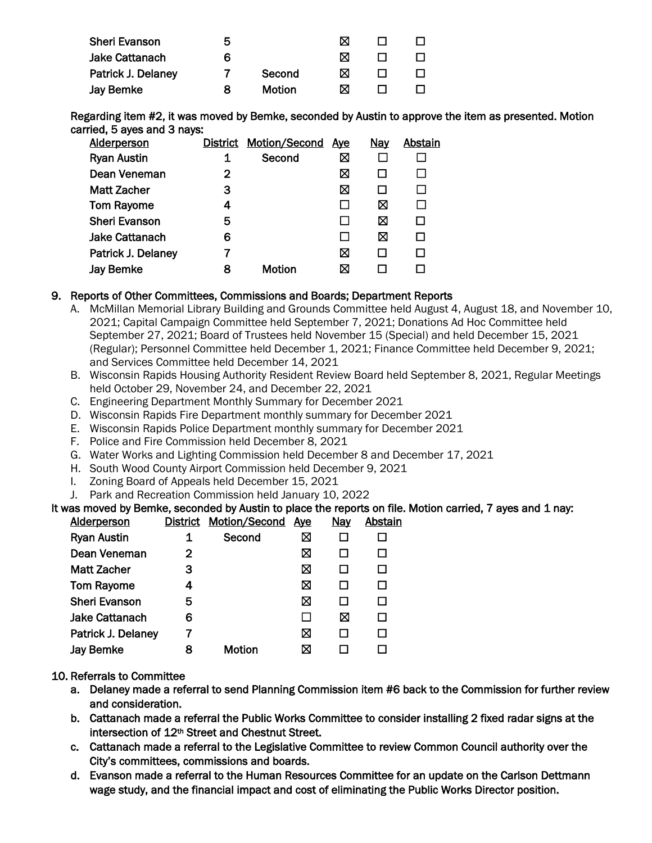| <b>Sheri Evanson</b>  | ხ |        |   |  |
|-----------------------|---|--------|---|--|
| <b>Jake Cattanach</b> | 6 |        |   |  |
| Patrick J. Delaney    |   | Second | M |  |
| Jay Bemke             |   | Motion | M |  |

Regarding item #2, it was moved by Bemke, seconded by Austin to approve the item as presented. Motion carried, 5 ayes and 3 nays:

| <b>Alderperson</b>    |   | District Motion/Second | <u>Ave</u> | Nay | <b>Abstain</b> |
|-----------------------|---|------------------------|------------|-----|----------------|
| <b>Ryan Austin</b>    |   | Second                 | ⊠          |     |                |
| Dean Veneman          | 2 |                        | ⊠          |     |                |
| <b>Matt Zacher</b>    | з |                        | ⊠          |     |                |
| <b>Tom Rayome</b>     | 4 |                        |            | ⊠   |                |
| <b>Sheri Evanson</b>  | 5 |                        |            | ⊠   |                |
| <b>Jake Cattanach</b> | 6 |                        |            | ⊠   |                |
| Patrick J. Delaney    |   |                        | ⊠          |     |                |
| <b>Jay Bemke</b>      | 8 | <b>Motion</b>          | ⊠          |     |                |
|                       |   |                        |            |     |                |

#### 9. Reports of Other Committees, Commissions and Boards; Department Reports

- A. McMillan Memorial Library Building and Grounds Committee held August 4, August 18, and November 10, 2021; Capital Campaign Committee held September 7, 2021; Donations Ad Hoc Committee held September 27, 2021; Board of Trustees held November 15 (Special) and held December 15, 2021 (Regular); Personnel Committee held December 1, 2021; Finance Committee held December 9, 2021; and Services Committee held December 14, 2021
- B. Wisconsin Rapids Housing Authority Resident Review Board held September 8, 2021, Regular Meetings held October 29, November 24, and December 22, 2021
- C. Engineering Department Monthly Summary for December 2021
- D. Wisconsin Rapids Fire Department monthly summary for December 2021
- E. Wisconsin Rapids Police Department monthly summary for December 2021
- F. Police and Fire Commission held December 8, 2021
- G. Water Works and Lighting Commission held December 8 and December 17, 2021
- H. South Wood County Airport Commission held December 9, 2021
- I. Zoning Board of Appeals held December 15, 2021
- J. Park and Recreation Commission held January 10, 2022

It was moved by Bemke, seconded by Austin to place the reports on file. Motion carried, 7 ayes and 1 nay:<br>Alderperson District Motion/Second Ave Nav Abstain District Motion/Second Ave

| , , , , , , , , , , , , , |   |               | $\cdots$ | . | . |
|---------------------------|---|---------------|----------|---|---|
| <b>Ryan Austin</b>        | 1 | Second        | ⊠        |   |   |
| Dean Veneman              | 2 |               | ⊠        |   |   |
| <b>Matt Zacher</b>        | 3 |               | ⊠        |   |   |
| <b>Tom Rayome</b>         | 4 |               | ⊠        |   |   |
| <b>Sheri Evanson</b>      | 5 |               | ⊠        |   |   |
| <b>Jake Cattanach</b>     | 6 |               |          | ⊠ |   |
| Patrick J. Delaney        |   |               | ⊠        |   |   |
| <b>Jay Bemke</b>          | 8 | <b>Motion</b> | ⋈        |   |   |
|                           |   |               |          |   |   |

#### 10. Referrals to Committee

- a. Delaney made a referral to send Planning Commission item #6 back to the Commission for further review and consideration.
- b. Cattanach made a referral the Public Works Committee to consider installing 2 fixed radar signs at the intersection of 12<sup>th</sup> Street and Chestnut Street.
- c. Cattanach made a referral to the Legislative Committee to review Common Council authority over the City's committees, commissions and boards.
- d. Evanson made a referral to the Human Resources Committee for an update on the Carlson Dettmann wage study, and the financial impact and cost of eliminating the Public Works Director position.